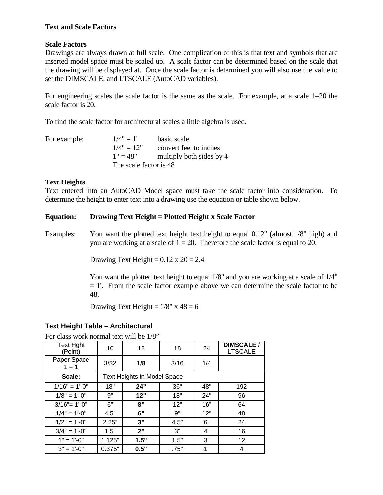#### **Text and Scale Factors**

### **Scale Factors**

Drawings are always drawn at full scale. One complication of this is that text and symbols that are inserted model space must be scaled up. A scale factor can be determined based on the scale that the drawing will be displayed at. Once the scale factor is determined you will also use the value to set the DIMSCALE, and LTSCALE (AutoCAD variables).

For engineering scales the scale factor is the same as the scale. For example, at a scale 1=20 the scale factor is 20.

To find the scale factor for architectural scales a little algebra is used.

| For example: | $1/4" = 1'$            | basic scale              |  |
|--------------|------------------------|--------------------------|--|
|              | $1/4" = 12"$           | convert feet to inches   |  |
|              | $1" = 48"$             | multiply both sides by 4 |  |
|              | The scale factor is 48 |                          |  |

### **Text Heights**

Text entered into an AutoCAD Model space must take the scale factor into consideration. To determine the height to enter text into a drawing use the equation or table shown below.

### **Equation: Drawing Text Height = Plotted Height x Scale Factor**

Examples: You want the plotted text height text height to equal 0.12" (almost 1/8" high) and you are working at a scale of  $1 = 20$ . Therefore the scale factor is equal to 20.

Drawing Text Height =  $0.12 \times 20 = 2.4$ 

 You want the plotted text height to equal 1/8" and you are working at a scale of 1/4"  $= 1'$ . From the scale factor example above we can determine the scale factor to be 48.

Drawing Text Height =  $1/8$ " x  $48 = 6$ 

## **Text Height Table – Architectural**

For class work normal text will be 1/8"

| <b>Text Hght</b><br>(Point) | 10                                 | 12 <sup>2</sup> | 18   | 24  | <b>DIMSCALE /</b><br><b>LTSCALE</b> |  |
|-----------------------------|------------------------------------|-----------------|------|-----|-------------------------------------|--|
| Paper Space<br>$1 = 1$      | 3/32                               | 1/8             | 3/16 | 1/4 |                                     |  |
| Scale:                      | <b>Text Heights in Model Space</b> |                 |      |     |                                     |  |
| $1/16" = 1'-0"$             | 18"                                | 24"             | 36"  | 48" | 192                                 |  |
| $1/8" = 1'-0"$              | 9"                                 | 12"             | 18"  | 24" | 96                                  |  |
| $3/16" = 1'-0"$             | 6"                                 | 8"              | 12"  | 16" | 64                                  |  |
| $1/4" = 1'-0"$              | 4.5"                               | 6"              | 9"   | 12" | 48                                  |  |
| $1/2" = 1'-0"$              | 2.25"                              | 3"              | 4.5" | 6"  | 24                                  |  |
| $3/4" = 1'-0"$              | 1.5"                               | 2"              | 3"   | 4"  | 16                                  |  |
| $1" = 1'-0"$                | 1.125"                             | 1.5"            | 1.5" | 3"  | 12 <sup>2</sup>                     |  |
| $3" = 1'-0"$                | 0.375"                             | 0.5"            | .75" | 1"  | 4                                   |  |